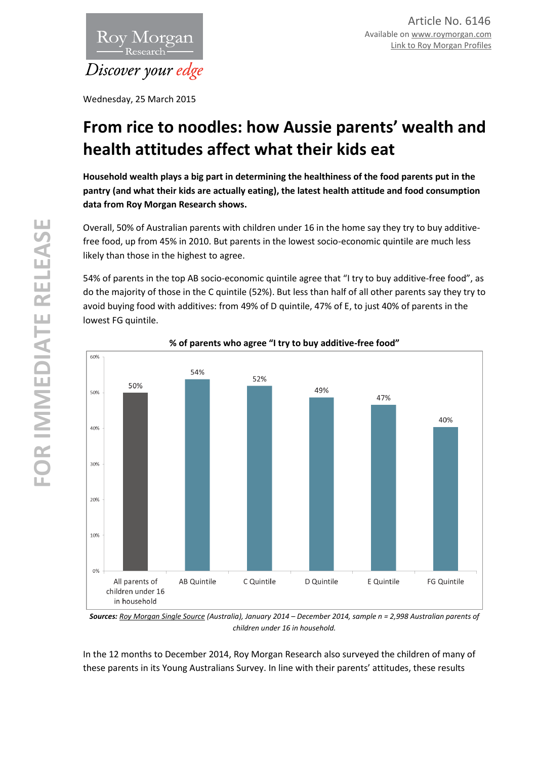

Wednesday, 25 March 2015

# **From rice to noodles: how Aussie parents' wealth and health attitudes affect what their kids eat**

**Household wealth plays a big part in determining the healthiness of the food parents put in the pantry (and what their kids are actually eating), the latest health attitude and food consumption data from Roy Morgan Research shows.** 

Overall, 50% of Australian parents with children under 16 in the home say they try to buy additivefree food, up from 45% in 2010. But parents in the lowest socio-economic quintile are much less likely than those in the highest to agree.

54% of parents in the top AB socio-economic quintile agree that "I try to buy additive-free food", as do the majority of those in the C quintile (52%). But less than half of all other parents say they try to avoid buying food with additives: from 49% of D quintile, 47% of E, to just 40% of parents in the lowest FG quintile.



## **% of parents who agree "I try to buy additive-free food"**

*Sources: [Roy Morgan Single Source](http://www.roymorgan.com/products/single-source) (Australia), January 2014 – December 2014, sample n = 2,998 Australian parents of children under 16 in household.*

In the 12 months to December 2014, Roy Morgan Research also surveyed the children of many of these parents in its Young Australians Survey. In line with their parents' attitudes, these results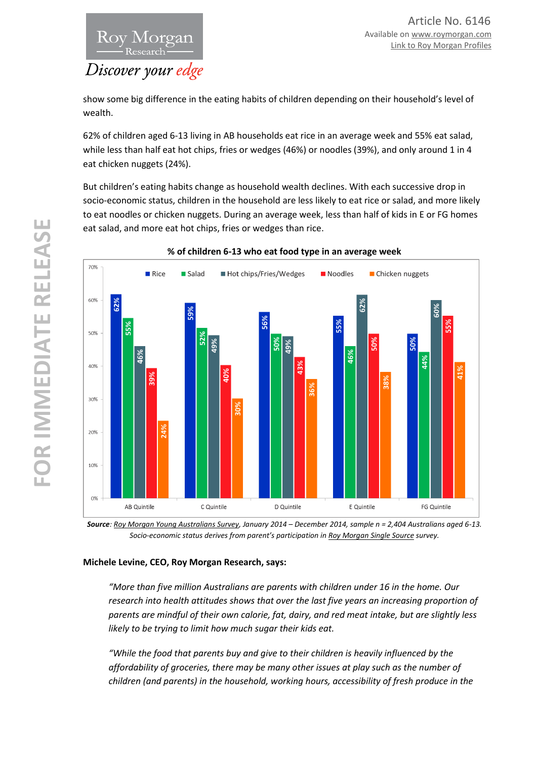

show some big difference in the eating habits of children depending on their household's level of wealth.

62% of children aged 6-13 living in AB households eat rice in an average week and 55% eat salad, while less than half eat hot chips, fries or wedges (46%) or noodles (39%), and only around 1 in 4 eat chicken nuggets (24%).

But children's eating habits change as household wealth declines. With each successive drop in socio-economic status, children in the household are less likely to eat rice or salad, and more likely to eat noodles or chicken nuggets. During an average week, less than half of kids in E or FG homes eat salad, and more eat hot chips, fries or wedges than rice.



**% of children 6-13 who eat food type in an average week**

*Source[: Roy Morgan Young Australians Survey,](http://www.roymorgan.com/products/young-australians-survey) January 2014 – December 2014, sample n = 2,404 Australians aged 6-13. Socio-economic status derives from parent's participation in [Roy Morgan Single Source](http://www.roymorgan.com/products/single-source) survey.* 

### **Michele Levine, CEO, Roy Morgan Research, says:**

*"More than five million Australians are parents with children under 16 in the home. Our research into health attitudes shows that over the last five years an increasing proportion of parents are mindful of their own calorie, fat, dairy, and red meat intake, but are slightly less likely to be trying to limit how much sugar their kids eat.* 

*"While the food that parents buy and give to their children is heavily influenced by the affordability of groceries, there may be many other issues at play such as the number of children (and parents) in the household, working hours, accessibility of fresh produce in the*